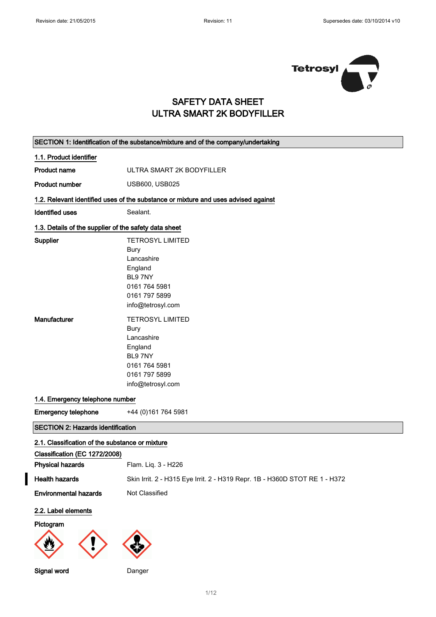$\mathsf{r}$ 

 $\overline{\phantom{0}}$ 



## SAFETY DATA SHEET ULTRA SMART 2K BODYFILLER

| 1.1. Product identifier<br><b>Product name</b><br><b>Product number</b> | ULTRA SMART 2K BODYFILLER<br>USB600, USB025<br>1.2. Relevant identified uses of the substance or mixture and uses advised against<br>Sealant.               |
|-------------------------------------------------------------------------|-------------------------------------------------------------------------------------------------------------------------------------------------------------|
|                                                                         |                                                                                                                                                             |
|                                                                         |                                                                                                                                                             |
|                                                                         |                                                                                                                                                             |
|                                                                         |                                                                                                                                                             |
| <b>Identified uses</b>                                                  |                                                                                                                                                             |
| 1.3. Details of the supplier of the safety data sheet                   |                                                                                                                                                             |
| Supplier<br>Manufacturer                                                | <b>TETROSYL LIMITED</b><br><b>Bury</b><br>Lancashire<br>England<br>BL97NY<br>0161 764 5981<br>0161 797 5899<br>info@tetrosyl.com<br><b>TETROSYL LIMITED</b> |
|                                                                         | <b>Bury</b><br>Lancashire<br>England<br>BL97NY<br>0161 764 5981<br>0161 797 5899<br>info@tetrosyl.com                                                       |
| 1.4. Emergency telephone number                                         |                                                                                                                                                             |
| <b>Emergency telephone</b>                                              | +44 (0) 161 764 5981                                                                                                                                        |
| <b>SECTION 2: Hazards identification</b>                                |                                                                                                                                                             |
| 2.1. Classification of the substance or mixture                         |                                                                                                                                                             |
| Classification (EC 1272/2008)                                           |                                                                                                                                                             |
| <b>Physical hazards</b>                                                 | Flam. Liq. 3 - H226                                                                                                                                         |
| <b>Health hazards</b>                                                   | Skin Irrit. 2 - H315 Eye Irrit. 2 - H319 Repr. 1B - H360D STOT RE 1 - H372                                                                                  |
| <b>Environmental hazards</b>                                            | Not Classified                                                                                                                                              |
| 2.2. Label elements<br>Pictogram<br>Signal word                         | Danger                                                                                                                                                      |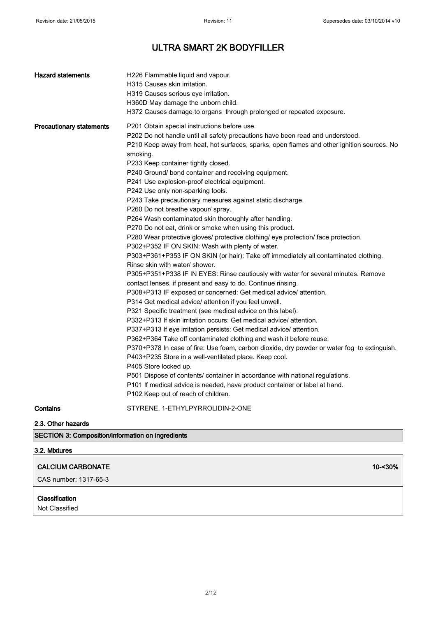| <b>Hazard statements</b>        | H226 Flammable liquid and vapour.<br>H315 Causes skin irritation.<br>H319 Causes serious eve irritation.<br>H360D May damage the unborn child.<br>H372 Causes damage to organs through prolonged or repeated exposure.                                                                                                                                                                                                                                                                                                                                                                                                                                                                                                                                                                                                                                                                                                                                                                                                                                                                                                                                                                                                                                                                                                                                                                                                                                                                                                                                                                                                                                                                                                                                                                                                                                                                       |
|---------------------------------|----------------------------------------------------------------------------------------------------------------------------------------------------------------------------------------------------------------------------------------------------------------------------------------------------------------------------------------------------------------------------------------------------------------------------------------------------------------------------------------------------------------------------------------------------------------------------------------------------------------------------------------------------------------------------------------------------------------------------------------------------------------------------------------------------------------------------------------------------------------------------------------------------------------------------------------------------------------------------------------------------------------------------------------------------------------------------------------------------------------------------------------------------------------------------------------------------------------------------------------------------------------------------------------------------------------------------------------------------------------------------------------------------------------------------------------------------------------------------------------------------------------------------------------------------------------------------------------------------------------------------------------------------------------------------------------------------------------------------------------------------------------------------------------------------------------------------------------------------------------------------------------------|
| <b>Precautionary statements</b> | P201 Obtain special instructions before use.<br>P202 Do not handle until all safety precautions have been read and understood.<br>P210 Keep away from heat, hot surfaces, sparks, open flames and other ignition sources. No<br>smoking.<br>P233 Keep container tightly closed.<br>P240 Ground/ bond container and receiving equipment.<br>P241 Use explosion-proof electrical equipment.<br>P242 Use only non-sparking tools.<br>P243 Take precautionary measures against static discharge.<br>P260 Do not breathe vapour/ spray.<br>P264 Wash contaminated skin thoroughly after handling.<br>P270 Do not eat, drink or smoke when using this product.<br>P280 Wear protective gloves/ protective clothing/ eye protection/ face protection.<br>P302+P352 IF ON SKIN: Wash with plenty of water.<br>P303+P361+P353 IF ON SKIN (or hair): Take off immediately all contaminated clothing.<br>Rinse skin with water/ shower.<br>P305+P351+P338 IF IN EYES: Rinse cautiously with water for several minutes. Remove<br>contact lenses, if present and easy to do. Continue rinsing.<br>P308+P313 IF exposed or concerned: Get medical advice/ attention.<br>P314 Get medical advice/ attention if you feel unwell.<br>P321 Specific treatment (see medical advice on this label).<br>P332+P313 If skin irritation occurs: Get medical advice/ attention.<br>P337+P313 If eye irritation persists: Get medical advice/ attention.<br>P362+P364 Take off contaminated clothing and wash it before reuse.<br>P370+P378 In case of fire: Use foam, carbon dioxide, dry powder or water fog to extinguish.<br>P403+P235 Store in a well-ventilated place. Keep cool.<br>P405 Store locked up.<br>P501 Dispose of contents/ container in accordance with national regulations.<br>P101 If medical advice is needed, have product container or label at hand.<br>P102 Keep out of reach of children. |
| Contains                        | STYRENE, 1-ETHYLPYRROLIDIN-2-ONE                                                                                                                                                                                                                                                                                                                                                                                                                                                                                                                                                                                                                                                                                                                                                                                                                                                                                                                                                                                                                                                                                                                                                                                                                                                                                                                                                                                                                                                                                                                                                                                                                                                                                                                                                                                                                                                             |

2.3. Other hazards

SECTION 3: Composition/information on ingredients

### 3.2. Mixtures

 $\overline{1}$ 

| CALCIUM CARBONATE       | 10-<30% |
|-------------------------|---------|
| ∣ CAS number: 1317-65-3 |         |

### Classification

Not Classified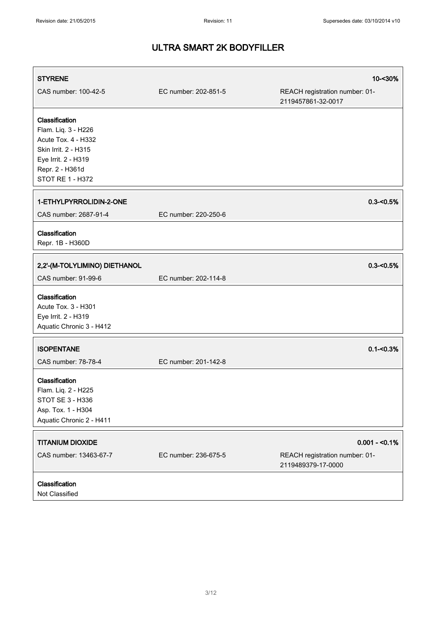| <b>STYRENE</b>                                                                                                                                     |                      | 10-<30%                                                                 |
|----------------------------------------------------------------------------------------------------------------------------------------------------|----------------------|-------------------------------------------------------------------------|
| CAS number: 100-42-5                                                                                                                               | EC number: 202-851-5 | REACH registration number: 01-<br>2119457861-32-0017                    |
| Classification<br>Flam. Liq. 3 - H226<br>Acute Tox. 4 - H332<br>Skin Irrit. 2 - H315<br>Eye Irrit. 2 - H319<br>Repr. 2 - H361d<br>STOT RE 1 - H372 |                      |                                                                         |
| 1-ETHYLPYRROLIDIN-2-ONE<br>CAS number: 2687-91-4                                                                                                   | EC number: 220-250-6 | $0.3 - 0.5%$                                                            |
| Classification<br>Repr. 1B - H360D                                                                                                                 |                      |                                                                         |
| 2,2'-(M-TOLYLIMINO) DIETHANOL<br>CAS number: 91-99-6                                                                                               | EC number: 202-114-8 | $0.3 - 0.5%$                                                            |
| Classification<br>Acute Tox. 3 - H301<br>Eye Irrit. 2 - H319<br>Aquatic Chronic 3 - H412                                                           |                      |                                                                         |
| <b>ISOPENTANE</b><br>CAS number: 78-78-4                                                                                                           | EC number: 201-142-8 | $0.1 - 0.3%$                                                            |
| Classification<br>Flam. Liq. 2 - H225<br>STOT SE 3 - H336<br>Asp. Tox. 1 - H304<br>Aquatic Chronic 2 - H411                                        |                      |                                                                         |
| <b>TITANIUM DIOXIDE</b><br>CAS number: 13463-67-7                                                                                                  | EC number: 236-675-5 | $0.001 - 0.1\%$<br>REACH registration number: 01-<br>2119489379-17-0000 |
| Classification<br>Not Classified                                                                                                                   |                      |                                                                         |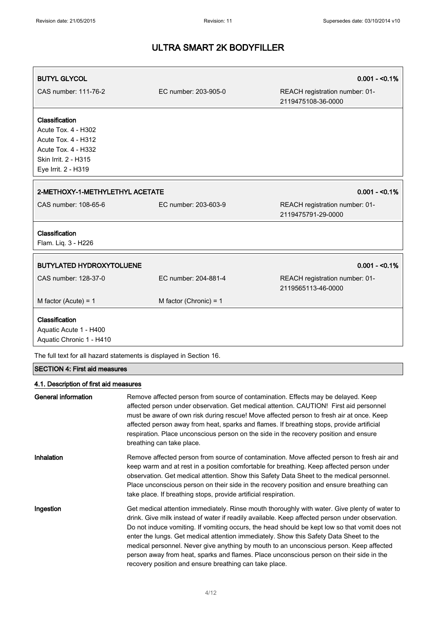| <b>BUTYL GLYCOL</b><br>CAS number: 111-76-2                                                                                               | EC number: 203-905-0     | $0.001 - 50.1%$<br>REACH registration number: 01-<br>2119475108-36-0000 |
|-------------------------------------------------------------------------------------------------------------------------------------------|--------------------------|-------------------------------------------------------------------------|
| Classification<br>Acute Tox. 4 - H302<br><b>Acute Tox. 4 - H312</b><br>Acute Tox. 4 - H332<br>Skin Irrit. 2 - H315<br>Eye Irrit. 2 - H319 |                          |                                                                         |
| $0.001 - 50.1%$<br>2-METHOXY-1-METHYLETHYL ACETATE                                                                                        |                          |                                                                         |
| CAS number: 108-65-6                                                                                                                      | EC number: 203-603-9     | REACH registration number: 01-<br>2119475791-29-0000                    |
| Classification<br>Flam. Liq. 3 - H226                                                                                                     |                          |                                                                         |
| <b>BUTYLATED HYDROXYTOLUENE</b>                                                                                                           |                          | $0.001 - 50.1%$                                                         |
| CAS number: 128-37-0                                                                                                                      | EC number: 204-881-4     | REACH registration number: 01-<br>2119565113-46-0000                    |
| M factor (Acute) = $1$                                                                                                                    | M factor (Chronic) = $1$ |                                                                         |
| Classification<br>Aquatic Acute 1 - H400<br>Aquatic Chronic 1 - H410                                                                      |                          |                                                                         |

The full text for all hazard statements is displayed in Section 16.

## SECTION 4: First aid measures

### 4.1. Description of first aid measures

| General information | Remove affected person from source of contamination. Effects may be delayed. Keep<br>affected person under observation. Get medical attention. CAUTION! First aid personnel<br>must be aware of own risk during rescue! Move affected person to fresh air at once. Keep<br>affected person away from heat, sparks and flames. If breathing stops, provide artificial<br>respiration. Place unconscious person on the side in the recovery position and ensure<br>breathing can take place.                                                                                                                                                   |
|---------------------|----------------------------------------------------------------------------------------------------------------------------------------------------------------------------------------------------------------------------------------------------------------------------------------------------------------------------------------------------------------------------------------------------------------------------------------------------------------------------------------------------------------------------------------------------------------------------------------------------------------------------------------------|
| Inhalation          | Remove affected person from source of contamination. Move affected person to fresh air and<br>keep warm and at rest in a position comfortable for breathing. Keep affected person under<br>observation. Get medical attention. Show this Safety Data Sheet to the medical personnel.<br>Place unconscious person on their side in the recovery position and ensure breathing can<br>take place. If breathing stops, provide artificial respiration.                                                                                                                                                                                          |
| Ingestion           | Get medical attention immediately. Rinse mouth thoroughly with water. Give plenty of water to<br>drink. Give milk instead of water if readily available. Keep affected person under observation.<br>Do not induce vomiting. If vomiting occurs, the head should be kept low so that vomit does not<br>enter the lungs. Get medical attention immediately. Show this Safety Data Sheet to the<br>medical personnel. Never give anything by mouth to an unconscious person. Keep affected<br>person away from heat, sparks and flames. Place unconscious person on their side in the<br>recovery position and ensure breathing can take place. |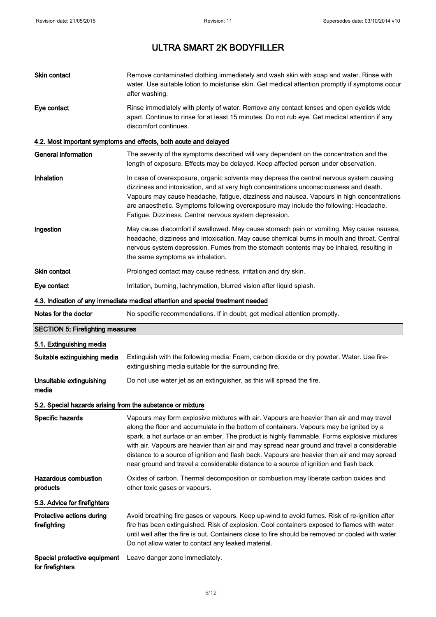| Skin contact                                               | Remove contaminated clothing immediately and wash skin with soap and water. Rinse with<br>water. Use suitable lotion to moisturise skin. Get medical attention promptly if symptoms occur<br>after washing.                                                                                                                                                                                                                                                                                                                                                                  |
|------------------------------------------------------------|------------------------------------------------------------------------------------------------------------------------------------------------------------------------------------------------------------------------------------------------------------------------------------------------------------------------------------------------------------------------------------------------------------------------------------------------------------------------------------------------------------------------------------------------------------------------------|
| Eye contact                                                | Rinse immediately with plenty of water. Remove any contact lenses and open eyelids wide<br>apart. Continue to rinse for at least 15 minutes. Do not rub eye. Get medical attention if any<br>discomfort continues.                                                                                                                                                                                                                                                                                                                                                           |
|                                                            | 4.2. Most important symptoms and effects, both acute and delayed                                                                                                                                                                                                                                                                                                                                                                                                                                                                                                             |
| <b>General information</b>                                 | The severity of the symptoms described will vary dependent on the concentration and the<br>length of exposure. Effects may be delayed. Keep affected person under observation.                                                                                                                                                                                                                                                                                                                                                                                               |
| Inhalation                                                 | In case of overexposure, organic solvents may depress the central nervous system causing<br>dizziness and intoxication, and at very high concentrations unconsciousness and death.<br>Vapours may cause headache, fatigue, dizziness and nausea. Vapours in high concentrations<br>are anaesthetic. Symptoms following overexposure may include the following: Headache.<br>Fatigue. Dizziness. Central nervous system depression.                                                                                                                                           |
| Ingestion                                                  | May cause discomfort if swallowed. May cause stomach pain or vomiting. May cause nausea,<br>headache, dizziness and intoxication. May cause chemical burns in mouth and throat. Central<br>nervous system depression. Fumes from the stomach contents may be inhaled, resulting in<br>the same symptoms as inhalation.                                                                                                                                                                                                                                                       |
| <b>Skin contact</b>                                        | Prolonged contact may cause redness, irritation and dry skin.                                                                                                                                                                                                                                                                                                                                                                                                                                                                                                                |
| Eye contact                                                | Irritation, burning, lachrymation, blurred vision after liquid splash.                                                                                                                                                                                                                                                                                                                                                                                                                                                                                                       |
|                                                            | 4.3. Indication of any immediate medical attention and special treatment needed                                                                                                                                                                                                                                                                                                                                                                                                                                                                                              |
| Notes for the doctor                                       | No specific recommendations. If in doubt, get medical attention promptly.                                                                                                                                                                                                                                                                                                                                                                                                                                                                                                    |
| <b>SECTION 5: Firefighting measures</b>                    |                                                                                                                                                                                                                                                                                                                                                                                                                                                                                                                                                                              |
| 5.1. Extinguishing media                                   |                                                                                                                                                                                                                                                                                                                                                                                                                                                                                                                                                                              |
| Suitable extinguishing media                               | Extinguish with the following media: Foam, carbon dioxide or dry powder. Water. Use fire-<br>extinguishing media suitable for the surrounding fire.                                                                                                                                                                                                                                                                                                                                                                                                                          |
| Unsuitable extinguishing<br>media                          | Do not use water jet as an extinguisher, as this will spread the fire.                                                                                                                                                                                                                                                                                                                                                                                                                                                                                                       |
| 5.2. Special hazards arising from the substance or mixture |                                                                                                                                                                                                                                                                                                                                                                                                                                                                                                                                                                              |
| Specific hazards                                           |                                                                                                                                                                                                                                                                                                                                                                                                                                                                                                                                                                              |
|                                                            | Vapours may form explosive mixtures with air. Vapours are heavier than air and may travel<br>along the floor and accumulate in the bottom of containers. Vapours may be ignited by a<br>spark, a hot surface or an ember. The product is highly flammable. Forms explosive mixtures<br>with air. Vapours are heavier than air and may spread near ground and travel a considerable<br>distance to a source of ignition and flash back. Vapours are heavier than air and may spread<br>near ground and travel a considerable distance to a source of ignition and flash back. |
| <b>Hazardous combustion</b><br>products                    | Oxides of carbon. Thermal decomposition or combustion may liberate carbon oxides and<br>other toxic gases or vapours.                                                                                                                                                                                                                                                                                                                                                                                                                                                        |
| 5.3. Advice for firefighters                               |                                                                                                                                                                                                                                                                                                                                                                                                                                                                                                                                                                              |
| Protective actions during<br>firefighting                  | Avoid breathing fire gases or vapours. Keep up-wind to avoid fumes. Risk of re-ignition after<br>fire has been extinguished. Risk of explosion. Cool containers exposed to flames with water<br>until well after the fire is out. Containers close to fire should be removed or cooled with water.<br>Do not allow water to contact any leaked material.                                                                                                                                                                                                                     |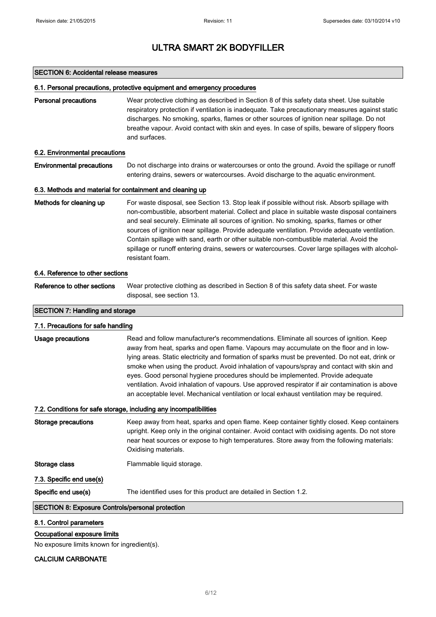#### SECTION 6: Accidental release measures

#### 6.1. Personal precautions, protective equipment and emergency procedures

Personal precautions Wear protective clothing as described in Section 8 of this safety data sheet. Use suitable respiratory protection if ventilation is inadequate. Take precautionary measures against static discharges. No smoking, sparks, flames or other sources of ignition near spillage. Do not breathe vapour. Avoid contact with skin and eyes. In case of spills, beware of slippery floors and surfaces.

#### 6.2. Environmental precautions

### Environmental precautions Do not discharge into drains or watercourses or onto the ground. Avoid the spillage or runoff entering drains, sewers or watercourses. Avoid discharge to the aquatic environment.

#### 6.3. Methods and material for containment and cleaning up

| Methods for cleaning up | For waste disposal, see Section 13. Stop leak if possible without risk. Absorb spillage with    |
|-------------------------|-------------------------------------------------------------------------------------------------|
|                         | non-combustible, absorbent material. Collect and place in suitable waste disposal containers    |
|                         | and seal securely. Eliminate all sources of ignition. No smoking, sparks, flames or other       |
|                         | sources of ignition near spillage. Provide adequate ventilation. Provide adequate ventilation.  |
|                         | Contain spillage with sand, earth or other suitable non-combustible material. Avoid the         |
|                         | spillage or runoff entering drains, sewers or watercourses. Cover large spillages with alcohol- |
|                         | resistant foam.                                                                                 |

#### 6.4. Reference to other sections

Reference to other sections Wear protective clothing as described in Section 8 of this safety data sheet. For waste disposal, see section 13.

### SECTION 7: Handling and storage

## 7.1. Precautions for safe handling

Usage precautions **Read and follow manufacturer's recommendations**. Eliminate all sources of ignition. Keep away from heat, sparks and open flame. Vapours may accumulate on the floor and in lowlying areas. Static electricity and formation of sparks must be prevented. Do not eat, drink or smoke when using the product. Avoid inhalation of vapours/spray and contact with skin and eyes. Good personal hygiene procedures should be implemented. Provide adequate ventilation. Avoid inhalation of vapours. Use approved respirator if air contamination is above an acceptable level. Mechanical ventilation or local exhaust ventilation may be required.

#### 7.2. Conditions for safe storage, including any incompatibilities

| Storage precautions      | Keep away from heat, sparks and open flame. Keep container tightly closed. Keep containers<br>upright. Keep only in the original container. Avoid contact with oxidising agents. Do not store<br>near heat sources or expose to high temperatures. Store away from the following materials:<br>Oxidising materials. |
|--------------------------|---------------------------------------------------------------------------------------------------------------------------------------------------------------------------------------------------------------------------------------------------------------------------------------------------------------------|
| Storage class            | Flammable liquid storage.                                                                                                                                                                                                                                                                                           |
| 7.3. Specific end use(s) |                                                                                                                                                                                                                                                                                                                     |
| Specific end use(s)      | The identified uses for this product are detailed in Section 1.2.                                                                                                                                                                                                                                                   |
|                          |                                                                                                                                                                                                                                                                                                                     |

## SECTION 8: Exposure Controls/personal protection

#### 8.1. Control parameters

#### Occupational exposure limits

No exposure limits known for ingredient(s).

### CALCIUM CARBONATE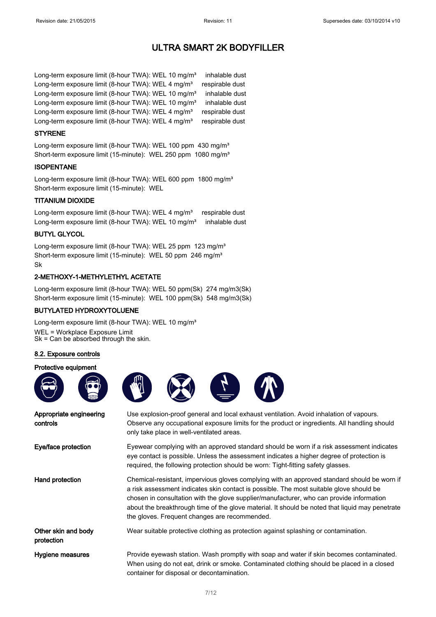Long-term exposure limit (8-hour TWA): WEL 10 mg/m<sup>3</sup> inhalable dust Long-term exposure limit (8-hour TWA): WEL 4 mg/m<sup>3</sup> respirable dust Long-term exposure limit (8-hour TWA): WEL 10 mg/m<sup>3</sup> inhalable dust Long-term exposure limit (8-hour TWA): WEL 10 mg/m<sup>3</sup> inhalable dust Long-term exposure limit (8-hour TWA): WEL 4 mg/m<sup>3</sup> respirable dust Long-term exposure limit (8-hour TWA): WEL 4 mg/m<sup>3</sup> respirable dust

#### STYRENE

Long-term exposure limit (8-hour TWA): WEL 100 ppm 430 mg/m<sup>3</sup> Short-term exposure limit (15-minute): WEL 250 ppm 1080 mg/m<sup>3</sup>

### ISOPENTANE

Long-term exposure limit (8-hour TWA): WEL 600 ppm 1800 mg/m<sup>3</sup> Short-term exposure limit (15-minute): WEL

#### TITANIUM DIOXIDE

Long-term exposure limit (8-hour TWA): WEL 4 mg/m<sup>3</sup> respirable dust Long-term exposure limit (8-hour TWA): WEL 10 mg/m<sup>3</sup> inhalable dust

### BUTYL GLYCOL

Long-term exposure limit (8-hour TWA): WEL 25 ppm 123 mg/m<sup>3</sup> Short-term exposure limit (15-minute): WEL 50 ppm 246 mg/m<sup>3</sup> Sk

### 2-METHOXY-1-METHYLETHYL ACETATE

Long-term exposure limit (8-hour TWA): WEL 50 ppm(Sk) 274 mg/m3(Sk) Short-term exposure limit (15-minute): WEL 100 ppm(Sk) 548 mg/m3(Sk)

### BUTYLATED HYDROXYTOLUENE

Long-term exposure limit (8-hour TWA): WEL 10 mg/m<sup>3</sup>

WEL = Workplace Exposure Limit Sk = Can be absorbed through the skin.

### 8.2. Exposure controls

#### Protective equipment







Appropriate engineering controls Use explosion-proof general and local exhaust ventilation. Avoid inhalation of vapours. Observe any occupational exposure limits for the product or ingredients. All handling should only take place in well-ventilated areas. Eye/face protection Eyewear complying with an approved standard should be worn if a risk assessment indicates eye contact is possible. Unless the assessment indicates a higher degree of protection is required, the following protection should be worn: Tight-fitting safety glasses. Hand protection **Chemical-resistant, impervious gloves complying with an approved standard should be worn if** a risk assessment indicates skin contact is possible. The most suitable glove should be chosen in consultation with the glove supplier/manufacturer, who can provide information about the breakthrough time of the glove material. It should be noted that liquid may penetrate the gloves. Frequent changes are recommended. Other skin and body protection Wear suitable protective clothing as protection against splashing or contamination. Hygiene measures **Provide eyewash station. Wash promptly with soap and water if skin becomes contaminated.** When using do not eat, drink or smoke. Contaminated clothing should be placed in a closed container for disposal or decontamination.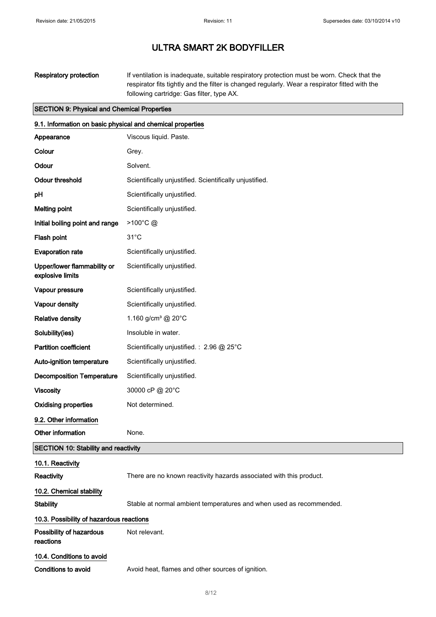Respiratory protection If ventilation is inadequate, suitable respiratory protection must be worn. Check that the respirator fits tightly and the filter is changed regularly. Wear a respirator fitted with the following cartridge: Gas filter, type AX.

#### SECTION 9: Physical and Chemical Properties

| 9.1. Information on basic physical and chemical properties |                                                                     |
|------------------------------------------------------------|---------------------------------------------------------------------|
| Appearance                                                 | Viscous liquid. Paste.                                              |
| Colour                                                     | Grey.                                                               |
| Odour                                                      | Solvent.                                                            |
| <b>Odour threshold</b>                                     | Scientifically unjustified. Scientifically unjustified.             |
| рH                                                         | Scientifically unjustified.                                         |
| <b>Melting point</b>                                       | Scientifically unjustified.                                         |
| Initial boiling point and range                            | >100°C@                                                             |
| Flash point                                                | $31^{\circ}$ C                                                      |
| <b>Evaporation rate</b>                                    | Scientifically unjustified.                                         |
| Upper/lower flammability or<br>explosive limits            | Scientifically unjustified.                                         |
| Vapour pressure                                            | Scientifically unjustified.                                         |
| Vapour density                                             | Scientifically unjustified.                                         |
| <b>Relative density</b>                                    | 1.160 g/cm <sup>3</sup> @ 20 $^{\circ}$ C                           |
| Solubility(ies)                                            | Insoluble in water.                                                 |
| <b>Partition coefficient</b>                               | Scientifically unjustified.: 2.96 @ 25°C                            |
| Auto-ignition temperature                                  | Scientifically unjustified.                                         |
| <b>Decomposition Temperature</b>                           | Scientifically unjustified.                                         |
| <b>Viscosity</b>                                           | 30000 cP @ 20°C                                                     |
| <b>Oxidising properties</b>                                | Not determined.                                                     |
| 9.2. Other information                                     |                                                                     |
| Other information                                          | None.                                                               |
| <b>SECTION 10: Stability and reactivity</b>                |                                                                     |
| 10.1. Reactivity                                           |                                                                     |
| Reactivity                                                 | There are no known reactivity hazards associated with this product. |
| 10.2. Chemical stability                                   |                                                                     |
| <b>Stability</b>                                           | Stable at normal ambient temperatures and when used as recommended. |
| 10.3. Possibility of hazardous reactions                   |                                                                     |
| Possibility of hazardous<br>reactions                      | Not relevant.                                                       |
| 10.4. Conditions to avoid                                  |                                                                     |
|                                                            |                                                                     |

Conditions to avoid **Avoid heat, flames and other sources of ignition.**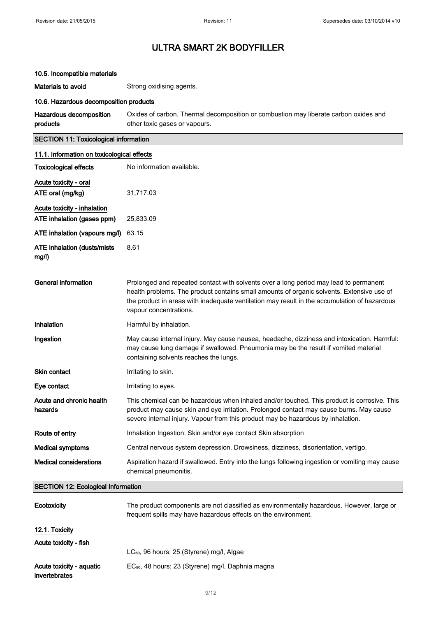## 10.5. Incompatible materials

Materials to avoid Strong oxidising agents.

## 10.6. Hazardous decomposition products

| Hazardous decomposition | Oxides of carbon. Thermal decomposition or combustion may liberate carbon oxides and |
|-------------------------|--------------------------------------------------------------------------------------|
| products                | other toxic gases or vapours.                                                        |

## SECTION 11: Toxicological information

| 11.1. Information on toxicological effects |                                                                                                                                                                                                                                                                                                              |  |
|--------------------------------------------|--------------------------------------------------------------------------------------------------------------------------------------------------------------------------------------------------------------------------------------------------------------------------------------------------------------|--|
| <b>Toxicological effects</b>               | No information available.                                                                                                                                                                                                                                                                                    |  |
| Acute toxicity - oral                      |                                                                                                                                                                                                                                                                                                              |  |
| ATE oral (mg/kg)                           | 31,717.03                                                                                                                                                                                                                                                                                                    |  |
| Acute toxicity - inhalation                |                                                                                                                                                                                                                                                                                                              |  |
| ATE inhalation (gases ppm)                 | 25,833.09                                                                                                                                                                                                                                                                                                    |  |
| ATE inhalation (vapours mg/l)              | 63.15                                                                                                                                                                                                                                                                                                        |  |
| ATE inhalation (dusts/mists<br>mg/l)       | 8.61                                                                                                                                                                                                                                                                                                         |  |
| <b>General information</b>                 | Prolonged and repeated contact with solvents over a long period may lead to permanent<br>health problems. The product contains small amounts of organic solvents. Extensive use of<br>the product in areas with inadequate ventilation may result in the accumulation of hazardous<br>vapour concentrations. |  |
| Inhalation                                 | Harmful by inhalation.                                                                                                                                                                                                                                                                                       |  |
| Ingestion                                  | May cause internal injury. May cause nausea, headache, dizziness and intoxication. Harmful:<br>may cause lung damage if swallowed. Pneumonia may be the result if vomited material<br>containing solvents reaches the lungs.                                                                                 |  |
| <b>Skin contact</b>                        | Irritating to skin.                                                                                                                                                                                                                                                                                          |  |
| Eye contact                                | Irritating to eyes.                                                                                                                                                                                                                                                                                          |  |
| Acute and chronic health<br>hazards        | This chemical can be hazardous when inhaled and/or touched. This product is corrosive. This<br>product may cause skin and eye irritation. Prolonged contact may cause burns. May cause<br>severe internal injury. Vapour from this product may be hazardous by inhalation.                                   |  |
| Route of entry                             | Inhalation Ingestion. Skin and/or eye contact Skin absorption                                                                                                                                                                                                                                                |  |
| <b>Medical symptoms</b>                    | Central nervous system depression. Drowsiness, dizziness, disorientation, vertigo.                                                                                                                                                                                                                           |  |
| <b>Medical considerations</b>              | Aspiration hazard if swallowed. Entry into the lungs following ingestion or vomiting may cause<br>chemical pneumonitis.                                                                                                                                                                                      |  |
| <b>SECTION 12: Ecological Information</b>  |                                                                                                                                                                                                                                                                                                              |  |

| Ecotoxicity                               | The product components are not classified as environmentally hazardous. However, large or<br>frequent spills may have hazardous effects on the environment. |  |
|-------------------------------------------|-------------------------------------------------------------------------------------------------------------------------------------------------------------|--|
| 12.1. Toxicity                            |                                                                                                                                                             |  |
| Acute toxicity - fish                     |                                                                                                                                                             |  |
|                                           | LC <sub>50</sub> , 96 hours: 25 (Styrene) mg/l, Algae                                                                                                       |  |
| Acute toxicity - aquatic<br>invertebrates | EC <sub>50</sub> , 48 hours: 23 (Styrene) mg/l, Daphnia magna                                                                                               |  |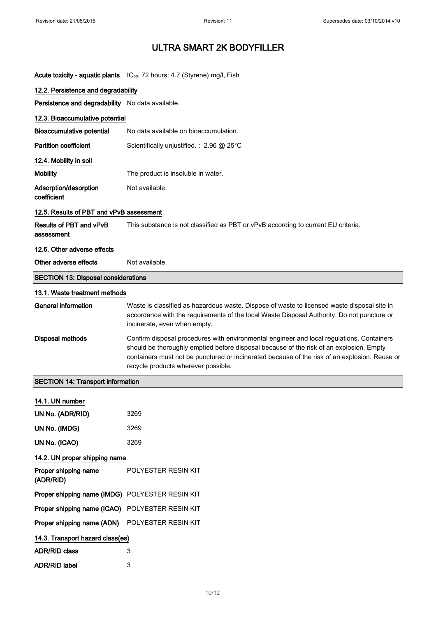|                                                  | Acute toxicity - aquatic plants IC <sub>50</sub> , 72 hours: 4.7 (Styrene) mg/l, Fish                                                                                                                                                                                                                                        |
|--------------------------------------------------|------------------------------------------------------------------------------------------------------------------------------------------------------------------------------------------------------------------------------------------------------------------------------------------------------------------------------|
| 12.2. Persistence and degradability              |                                                                                                                                                                                                                                                                                                                              |
| Persistence and degradability No data available. |                                                                                                                                                                                                                                                                                                                              |
| 12.3. Bioaccumulative potential                  |                                                                                                                                                                                                                                                                                                                              |
| <b>Bioaccumulative potential</b>                 | No data available on bioaccumulation.                                                                                                                                                                                                                                                                                        |
| <b>Partition coefficient</b>                     | Scientifically unjustified.: 2.96 @ 25°C                                                                                                                                                                                                                                                                                     |
| 12.4. Mobility in soil                           |                                                                                                                                                                                                                                                                                                                              |
| <b>Mobility</b>                                  | The product is insoluble in water.                                                                                                                                                                                                                                                                                           |
| Adsorption/desorption<br>coefficient             | Not available.                                                                                                                                                                                                                                                                                                               |
| 12.5. Results of PBT and vPvB assessment         |                                                                                                                                                                                                                                                                                                                              |
| Results of PBT and vPvB<br>assessment            | This substance is not classified as PBT or vPvB according to current EU criteria.                                                                                                                                                                                                                                            |
| 12.6. Other adverse effects                      |                                                                                                                                                                                                                                                                                                                              |
| Other adverse effects                            | Not available.                                                                                                                                                                                                                                                                                                               |
| <b>SECTION 13: Disposal considerations</b>       |                                                                                                                                                                                                                                                                                                                              |
| 13.1. Waste treatment methods                    |                                                                                                                                                                                                                                                                                                                              |
| <b>General information</b>                       | Waste is classified as hazardous waste. Dispose of waste to licensed waste disposal site in<br>accordance with the requirements of the local Waste Disposal Authority. Do not puncture or<br>incinerate, even when empty.                                                                                                    |
| <b>Disposal methods</b>                          | Confirm disposal procedures with environmental engineer and local regulations. Containers<br>should be thoroughly emptied before disposal because of the risk of an explosion. Empty<br>containers must not be punctured or incinerated because of the risk of an explosion. Reuse or<br>recycle products wherever possible. |
| <b>SECTION 14: Transport information</b>         |                                                                                                                                                                                                                                                                                                                              |
| 14.1. UN number                                  |                                                                                                                                                                                                                                                                                                                              |
| UN No. (ADR/RID)                                 | 3269                                                                                                                                                                                                                                                                                                                         |
| UN No. (IMDG)                                    | 3269                                                                                                                                                                                                                                                                                                                         |
| UN No. (ICAO)                                    | 3269                                                                                                                                                                                                                                                                                                                         |
| 14.2. UN proper shipping name                    |                                                                                                                                                                                                                                                                                                                              |
| Proper shipping name<br>(ADR/RID)                | POLYESTER RESIN KIT                                                                                                                                                                                                                                                                                                          |
| Proper shipping name (IMDG) POLYESTER RESIN KIT  |                                                                                                                                                                                                                                                                                                                              |
| Proper shipping name (ICAO)                      | POLYESTER RESIN KIT                                                                                                                                                                                                                                                                                                          |
| Proper shipping name (ADN)                       | POLYESTER RESIN KIT                                                                                                                                                                                                                                                                                                          |
| 14.3. Transport hazard class(es)                 |                                                                                                                                                                                                                                                                                                                              |
| <b>ADR/RID class</b>                             | 3                                                                                                                                                                                                                                                                                                                            |
| <b>ADR/RID label</b>                             | 3                                                                                                                                                                                                                                                                                                                            |
|                                                  |                                                                                                                                                                                                                                                                                                                              |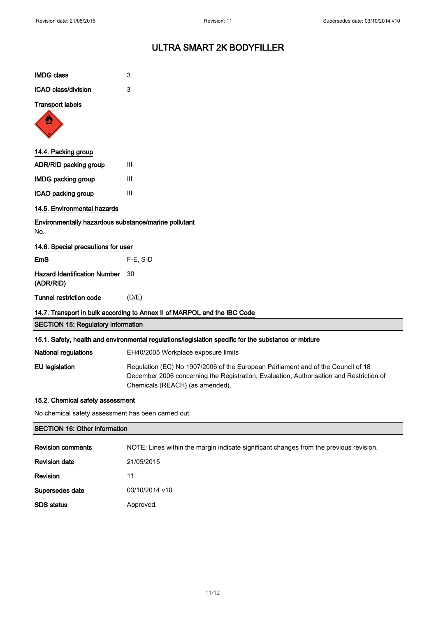| <b>IMDG class</b>                                                        | 3                                                                                                                                                                                                              |  |  |  |
|--------------------------------------------------------------------------|----------------------------------------------------------------------------------------------------------------------------------------------------------------------------------------------------------------|--|--|--|
| ICAO class/division                                                      | 3                                                                                                                                                                                                              |  |  |  |
| <b>Transport labels</b>                                                  |                                                                                                                                                                                                                |  |  |  |
|                                                                          |                                                                                                                                                                                                                |  |  |  |
| 14.4. Packing group                                                      |                                                                                                                                                                                                                |  |  |  |
| ADR/RID packing group                                                    | III                                                                                                                                                                                                            |  |  |  |
| <b>IMDG packing group</b>                                                | Ш                                                                                                                                                                                                              |  |  |  |
| ICAO packing group                                                       | Ш                                                                                                                                                                                                              |  |  |  |
| 14.5. Environmental hazards                                              |                                                                                                                                                                                                                |  |  |  |
| Environmentally hazardous substance/marine pollutant<br>No.              |                                                                                                                                                                                                                |  |  |  |
| 14.6. Special precautions for user                                       |                                                                                                                                                                                                                |  |  |  |
| EmS                                                                      | $F-E$ , S-D                                                                                                                                                                                                    |  |  |  |
| <b>Hazard Identification Number</b><br>(ADR/RID)                         | 30                                                                                                                                                                                                             |  |  |  |
| <b>Tunnel restriction code</b>                                           | (D/E)                                                                                                                                                                                                          |  |  |  |
| 14.7. Transport in bulk according to Annex II of MARPOL and the IBC Code |                                                                                                                                                                                                                |  |  |  |
| <b>SECTION 15: Regulatory information</b>                                |                                                                                                                                                                                                                |  |  |  |
|                                                                          | 15.1. Safety, health and environmental regulations/legislation specific for the substance or mixture                                                                                                           |  |  |  |
| <b>National regulations</b>                                              | EH40/2005 Workplace exposure limits                                                                                                                                                                            |  |  |  |
| <b>EU</b> legislation                                                    | Regulation (EC) No 1907/2006 of the European Parliament and of the Council of 18<br>December 2006 concerning the Registration, Evaluation, Authorisation and Restriction of<br>Chemicals (REACH) (as amended). |  |  |  |
| 15.2. Chemical safety assessment                                         |                                                                                                                                                                                                                |  |  |  |
| No chemical safety assessment has been carried out.                      |                                                                                                                                                                                                                |  |  |  |
| <b>SECTION 16: Other information</b>                                     |                                                                                                                                                                                                                |  |  |  |
| <b>Revision comments</b>                                                 | NOTE: Lines within the margin indicate significant changes from the previous revision.                                                                                                                         |  |  |  |

|                      | <b>TO TE. EINST WILLIE LIKE HIGHGILL INCIDENT SIGNIFICATION</b> |  |
|----------------------|-----------------------------------------------------------------|--|
| <b>Revision date</b> | 21/05/2015                                                      |  |
| <b>Revision</b>      | 11                                                              |  |
| Supersedes date      | 03/10/2014 v10                                                  |  |
| <b>SDS</b> status    | Approved.                                                       |  |